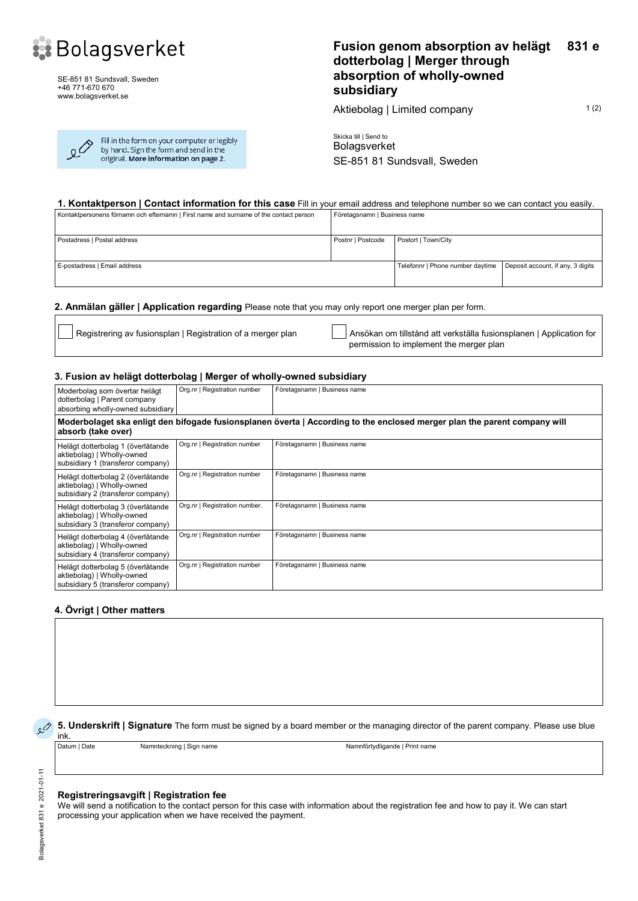

SE-851 81 Sundsvall, Sweden +46 771-670 670 www.bolagsverket.se

| $\Omega$ | Fill in the form on your computer or legibly<br>by hand. Sign the form and send in the<br>original. More information on page 2. |
|----------|---------------------------------------------------------------------------------------------------------------------------------|
|----------|---------------------------------------------------------------------------------------------------------------------------------|

## **Fusion genom absorption av helägt dotterbolag | Merger through absorption of wholly-owned subsidiary 831 e**

Aktiebolag | Limited company 1(2)

Skicka till | Send to Bolagsverket SE-851 81 Sundsvall, Sweden

## **1. Kontaktperson | Contact information for this case** Fill in your email address and telephone number so we can contact you easily.

| Kontaktpersonens förnamn och efternamn   First name and surname of the contact person | Företagsnamn   Business name |                                  |                                   |
|---------------------------------------------------------------------------------------|------------------------------|----------------------------------|-----------------------------------|
| Postadress   Postal address                                                           | Postnr   Postcode            | Postort   Town/City              |                                   |
| E-postadress   Email address                                                          |                              | Telefonnr   Phone number daytime | Deposit account, if any, 3 digits |

## **2. Anmälan gäller | Application regarding** Please note that you may only report one merger plan per form.

Registrering av fusionsplan | Registration of a merger plan Ansökan om tillstånd att verkställa fusionsplanen | Application for permission to implement the merger plan

## **3. Fusion av helägt dotterbolag | Merger of wholly-owned subsidiary**

| Moderbolag som övertar helägt<br>dotterbolag   Parent company<br>absorbing wholly-owned subsidiary                                              | Org.nr   Registration number  | Företagsnamn   Business name |  |  |  |
|-------------------------------------------------------------------------------------------------------------------------------------------------|-------------------------------|------------------------------|--|--|--|
| Moderbolaget ska enligt den bifogade fusionsplanen överta   According to the enclosed merger plan the parent company will<br>absorb (take over) |                               |                              |  |  |  |
| Helägt dotterbolag 1 (överlåtande<br>aktiebolag)   Wholly-owned<br>subsidiary 1 (transferor company)                                            | Org.nr   Registration number  | Företagsnamn   Business name |  |  |  |
| Helägt dotterbolag 2 (överlåtande<br>aktiebolag)   Wholly-owned<br>subsidiary 2 (transferor company)                                            | Org.nr   Registration number  | Företagsnamn   Business name |  |  |  |
| Helägt dotterbolag 3 (överlåtande<br>aktiebolag)   Wholly-owned<br>subsidiary 3 (transferor company)                                            | Org.nr   Registration number. | Företagsnamn   Business name |  |  |  |
| Helägt dotterbolag 4 (överlåtande<br>aktiebolag)   Wholly-owned<br>subsidiary 4 (transferor company)                                            | Org.nr   Registration number  | Företagsnamn   Business name |  |  |  |
| Helägt dotterbolag 5 (överlåtande<br>aktiebolag)   Wholly-owned<br>subsidiary 5 (transferor company)                                            | Org.nr   Registration number  | Företagsnamn   Business name |  |  |  |

## **4. Övrigt | Other matters**

**5.** Underskrift | Signature The form must be signed by a board member or the managing director of the parent company. Please use blue

**ink.**<br>Datum I Date

Namnteckning | Sign name Namnförtydligande | Print name

#### **Registreringsavgift | Registration fee**

We will send a notification to the contact person for this case with information about the registration fee and how to pay it. We can start processing your application when we have received the payment.